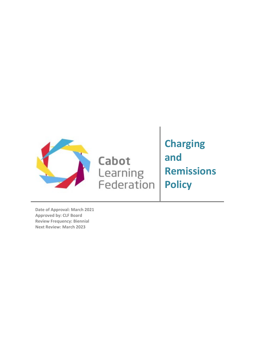

Cabot Learning<br>Federation **Charging and Remissions Policy**

**Date of Approval: March 2021 Approved by: CLF Board Review Frequency: Biennial Next Review: March 2023**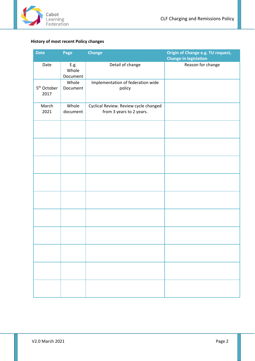

# <span id="page-1-0"></span>**History of most recent Policy changes**

| <b>Date</b>                     | Page                        | <b>Change</b>                                                     | Origin of Change e.g. TU request,<br><b>Change in legislation</b> |
|---------------------------------|-----------------------------|-------------------------------------------------------------------|-------------------------------------------------------------------|
| Date                            | $E.g.$<br>Whole<br>Document | Detail of change                                                  | Reason for change                                                 |
| 5 <sup>th</sup> October<br>2017 | Whole<br>Document           | Implementation of federation wide<br>policy                       |                                                                   |
| March<br>2021                   | Whole<br>document           | Cyclical Review. Review cycle changed<br>from 3 years to 2 years. |                                                                   |
|                                 |                             |                                                                   |                                                                   |
|                                 |                             |                                                                   |                                                                   |
|                                 |                             |                                                                   |                                                                   |
|                                 |                             |                                                                   |                                                                   |
|                                 |                             |                                                                   |                                                                   |
|                                 |                             |                                                                   |                                                                   |
|                                 |                             |                                                                   |                                                                   |
|                                 |                             |                                                                   |                                                                   |
|                                 |                             |                                                                   |                                                                   |
|                                 |                             |                                                                   |                                                                   |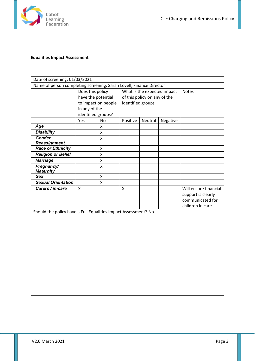

# <span id="page-2-0"></span>**Equalities Impact Assessment**

| Date of screening: 01/03/2021                                       |                                        |           |                                                             |         |          |                                                                                      |  |  |
|---------------------------------------------------------------------|----------------------------------------|-----------|-------------------------------------------------------------|---------|----------|--------------------------------------------------------------------------------------|--|--|
| Name of person completing screening: Sarah Lovell, Finance Director |                                        |           |                                                             |         |          |                                                                                      |  |  |
|                                                                     | Does this policy<br>have the potential |           | What is the expected impact<br>of this policy on any of the |         |          | <b>Notes</b>                                                                         |  |  |
|                                                                     |                                        |           |                                                             |         |          |                                                                                      |  |  |
|                                                                     | to impact on people                    |           | identified groups                                           |         |          |                                                                                      |  |  |
|                                                                     | in any of the                          |           |                                                             |         |          |                                                                                      |  |  |
|                                                                     | identified groups?                     |           |                                                             |         |          |                                                                                      |  |  |
|                                                                     | Yes                                    | <b>No</b> | Positive                                                    | Neutral | Negative |                                                                                      |  |  |
| Age                                                                 |                                        | x         |                                                             |         |          |                                                                                      |  |  |
| <b>Disability</b>                                                   |                                        | X         |                                                             |         |          |                                                                                      |  |  |
| <b>Gender</b>                                                       |                                        | X         |                                                             |         |          |                                                                                      |  |  |
| <b>Reassignment</b>                                                 |                                        |           |                                                             |         |          |                                                                                      |  |  |
| <b>Race or Ethnicity</b>                                            |                                        | X         |                                                             |         |          |                                                                                      |  |  |
| <b>Religion or Belief</b>                                           |                                        | X         |                                                             |         |          |                                                                                      |  |  |
| <b>Marriage</b>                                                     |                                        | X         |                                                             |         |          |                                                                                      |  |  |
| Pregnancy/<br><b>Maternity</b>                                      |                                        | X         |                                                             |         |          |                                                                                      |  |  |
| Sex                                                                 |                                        | X         |                                                             |         |          |                                                                                      |  |  |
| <b>Sexual Orientation</b>                                           |                                        | X         |                                                             |         |          |                                                                                      |  |  |
| Carers / in-care                                                    | X                                      |           | X                                                           |         |          | Will ensure financial<br>support is clearly<br>communicated for<br>children in care. |  |  |

Should the policy have a Full Equalities Impact Assessment? No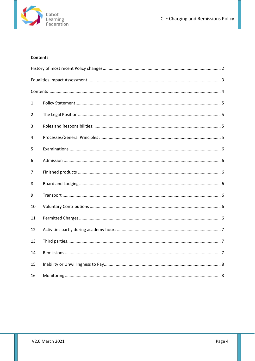

# <span id="page-3-0"></span>**Contents**

| 1  |  |
|----|--|
| 2  |  |
| 3  |  |
| 4  |  |
| 5  |  |
| 6  |  |
| 7  |  |
| 8  |  |
| 9  |  |
| 10 |  |
| 11 |  |
| 12 |  |
| 13 |  |
| 14 |  |
| 15 |  |
| 16 |  |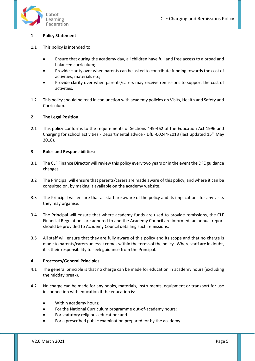

#### <span id="page-4-0"></span>**1 Policy Statement**

- 1.1 This policy is intended to:
	- Ensure that during the academy day, all children have full and free access to a broad and balanced curriculum;
	- Provide clarity over when parents can be asked to contribute funding towards the cost of activities, materials etc;
	- Provide clarity over when parents/carers may receive remissions to support the cost of activities.
- 1.2 This policy should be read in conjunction with academy policies on Visits, Health and Safety and Curriculum.

#### <span id="page-4-1"></span>**2 The Legal Position**

2.1 This policy conforms to the requirements of Sections 449-462 of the Education Act 1996 and Charging for school activities - Departmental advice - DfE -00244-2013 (last updated 15th May 2018).

#### <span id="page-4-2"></span>**3 Roles and Responsibilities:**

- 3.1 The CLF Finance Director will review this policy every two years or in the event the DFE guidance changes.
- 3.2 The Principal will ensure that parents/carers are made aware of this policy, and where it can be consulted on, by making it available on the academy website.
- 3.3 The Principal will ensure that all staff are aware of the policy and its implications for any visits they may organise.
- 3.4 The Principal will ensure that where academy funds are used to provide remissions, the CLF Financial Regulations are adhered to and the Academy Council are informed; an annual report should be provided to Academy Council detailing such remissions.
- 3.5 All staff will ensure that they are fully aware of this policy and its scope and that no charge is made to parents/carers unless it comes within the terms of the policy. Where staff are in doubt, it is their responsibility to seek guidance from the Principal.

#### <span id="page-4-3"></span>**4 Processes/General Principles**

- 4.1 The general principle is that no charge can be made for education in academy hours (excluding the midday break).
- 4.2 No charge can be made for any books, materials, instruments, equipment or transport for use in connection with education if the education is:
	- Within academy hours;
	- For the National Curriculum programme out-of-academy hours;
	- For statutory religious education; and
	- For a prescribed public examination prepared for by the academy.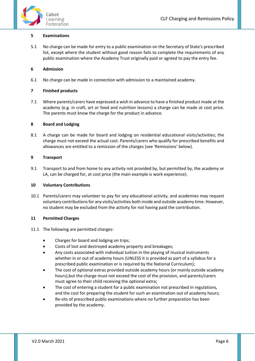



#### <span id="page-5-0"></span>**5 Examinations**

5.1 No charge can be made for entry to a public examination on the Secretary of State's prescribed list, except where the student without good reason fails to complete the requirements of any public examination where the Academy Trust originally paid or agreed to pay the entry fee.

# <span id="page-5-1"></span>**6 Admission**

6.1 No charge can be made in connection with admission to a maintained academy.

## <span id="page-5-2"></span>**7 Finished products**

7.1 Where parents/carers have expressed a wish in advance to have a finished product made at the academy (e.g. in craft, art or food and nutrition lessons) a charge can be made at cost price. The parents must know the charge for the product in advance.

## <span id="page-5-3"></span>**8 Board and Lodging**

8.1 A charge can be made for board and lodging on residential educational visits/activities; the charge must not exceed the actual cost. Parents/carers who qualify for prescribed benefits and allowances are entitled to a remission of the charges (see 'Remissions' below).

## <span id="page-5-4"></span>**9 Transport**

9.1 Transport to and from home to any activity not provided by, but permitted by, the academy or LA, can be charged for, at cost price (the main example is work experience).

#### <span id="page-5-5"></span>**10 Voluntary Contributions**

10.1 Parents/carers may volunteer to pay for any educational activity, and academies may request voluntary contributions for any visits/activities both inside and outside academy time. However, no student may be excluded from the activity for not having paid the contribution.

# <span id="page-5-6"></span>**11 Permitted Charges**

- 11.1 The following are permitted charges:
	- Charges for board and lodging on trips;
	- Costs of lost and destroyed academy property and breakages;
	- Any costs associated with individual tuition in the playing of musical instruments whether in or out of academy hours (UNLESS it is provided as part of a syllabus for a prescribed public examination or is required by the National Curriculum);
	- The cost of optional extras provided outside academy hours (or mainly outside academy hours),but the charge must not exceed the cost of the provision, and parents/carers must agree to their child receiving the optional extra;
	- The cost of entering a student for a public examination not prescribed in regulations, and the cost for preparing the student for such an examination out of academy hours;
	- Re-sits of prescribed public examinations where no further preparation has been provided by the academy.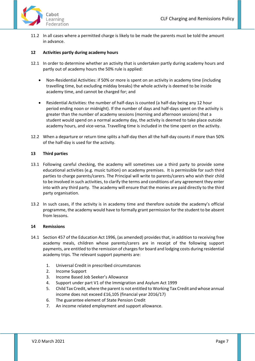

11.2 In all cases where a permitted charge is likely to be made the parents must be told the amount in advance.

# <span id="page-6-0"></span>**12 Activities partly during academy hours**

- 12.1 In order to determine whether an activity that is undertaken partly during academy hours and partly out of academy hours the 50% rule is applied:
	- Non-Residential Activities: if 50% or more is spent on an activity in academy time (including travelling time, but excluding midday breaks) the whole activity is deemed to be inside academy time, and cannot be charged for; and
	- Residential Activities: the number of half-days is counted (a half-day being any 12 hour period ending noon or midnight). If the number of days and half-days spent on the activity is greater than the number of academy sessions (morning and afternoon sessions) that a student would spend on a normal academy day, the activity is deemed to take place outside academy hours, and vice-versa. Travelling time is included in the time spent on the activity.
- 12.2 When a departure or return time splits a half-day then all the half-day counts if more than 50% of the half-day is used for the activity.

## <span id="page-6-1"></span>**13 Third parties**

- 13.1 Following careful checking, the academy will sometimes use a third party to provide some educational activities (e.g. music tuition) on academy premises. It is permissible for such third parties to charge parents/carers. The Principal will write to parents/carers who wish their child to be involved in such activities, to clarify the terms and conditions of any agreement they enter into with any third party. The academy will ensure that the monies are paid directly to the third party organisation.
- 13.2 In such cases, if the activity is in academy time and therefore outside the academy's official programme, the academy would have to formally grant permission for the student to be absent from lessons.

#### <span id="page-6-2"></span>**14 Remissions**

- 14.1 Section 457 of the Education Act 1996, (as amended) provides that, in addition to receiving free academy meals, children whose parents/carers are in receipt of the following support payments, are entitled to the remission of charges for board and lodging costs during residential academy trips. The relevant support payments are:
	- 1. Universal Credit in prescribed circumstances
	- 2. Income Support
	- 3. Income Based Job Seeker's Allowance
	- 4. Support under part V1 of the Immigration and Asylum Act 1999
	- 5. Child Tax Credit, where the parent is not entitled to Working Tax Credit and whose annual income does not exceed £16,105 (financial year 2016/17)
	- 6. The guarantee element of State Pension Credit
	- 7. An income related employment and support allowance.